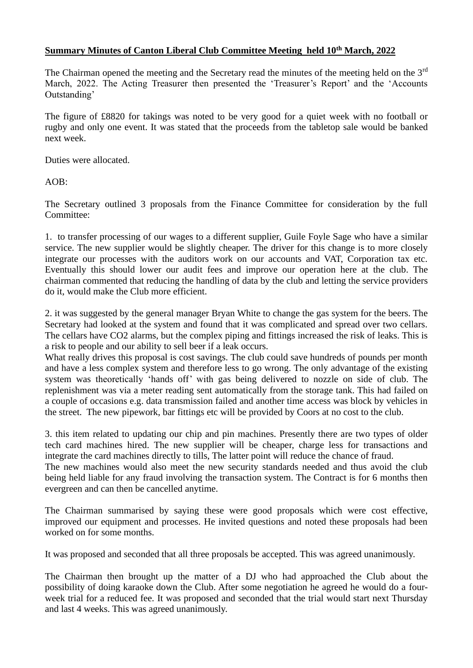## **Summary Minutes of Canton Liberal Club Committee Meeting held 10th March, 2022**

The Chairman opened the meeting and the Secretary read the minutes of the meeting held on the 3<sup>rd</sup> March, 2022. The Acting Treasurer then presented the 'Treasurer's Report' and the 'Accounts Outstanding'

The figure of £8820 for takings was noted to be very good for a quiet week with no football or rugby and only one event. It was stated that the proceeds from the tabletop sale would be banked next week.

Duties were allocated.

AOB:

The Secretary outlined 3 proposals from the Finance Committee for consideration by the full Committee:

1. to transfer processing of our wages to a different supplier, Guile Foyle Sage who have a similar service. The new supplier would be slightly cheaper. The driver for this change is to more closely integrate our processes with the auditors work on our accounts and VAT, Corporation tax etc. Eventually this should lower our audit fees and improve our operation here at the club. The chairman commented that reducing the handling of data by the club and letting the service providers do it, would make the Club more efficient.

2. it was suggested by the general manager Bryan White to change the gas system for the beers. The Secretary had looked at the system and found that it was complicated and spread over two cellars. The cellars have CO2 alarms, but the complex piping and fittings increased the risk of leaks. This is a risk to people and our ability to sell beer if a leak occurs.

What really drives this proposal is cost savings. The club could save hundreds of pounds per month and have a less complex system and therefore less to go wrong. The only advantage of the existing system was theoretically 'hands off' with gas being delivered to nozzle on side of club. The replenishment was via a meter reading sent automatically from the storage tank. This had failed on a couple of occasions e.g. data transmission failed and another time access was block by vehicles in the street. The new pipework, bar fittings etc will be provided by Coors at no cost to the club.

3. this item related to updating our chip and pin machines. Presently there are two types of older tech card machines hired. The new supplier will be cheaper, charge less for transactions and integrate the card machines directly to tills, The latter point will reduce the chance of fraud.

The new machines would also meet the new security standards needed and thus avoid the club being held liable for any fraud involving the transaction system. The Contract is for 6 months then evergreen and can then be cancelled anytime.

The Chairman summarised by saying these were good proposals which were cost effective, improved our equipment and processes. He invited questions and noted these proposals had been worked on for some months.

It was proposed and seconded that all three proposals be accepted. This was agreed unanimously.

The Chairman then brought up the matter of a DJ who had approached the Club about the possibility of doing karaoke down the Club. After some negotiation he agreed he would do a fourweek trial for a reduced fee. It was proposed and seconded that the trial would start next Thursday and last 4 weeks. This was agreed unanimously.